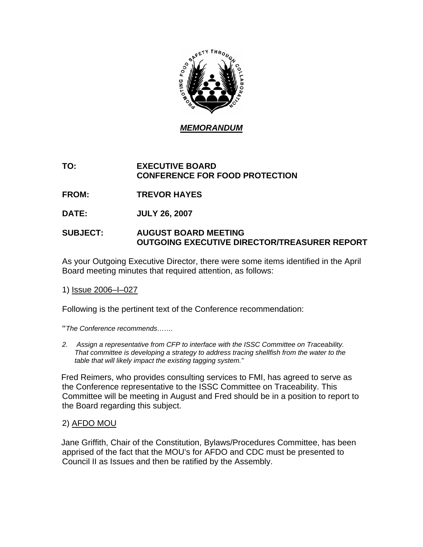

# **TO: EXECUTIVE BOARD CONFERENCE FOR FOOD PROTECTION**

- **FROM: TREVOR HAYES**
- **DATE: JULY 26, 2007**

## **SUBJECT: AUGUST BOARD MEETING OUTGOING EXECUTIVE DIRECTOR/TREASURER REPORT**

As your Outgoing Executive Director, there were some items identified in the April Board meeting minutes that required attention, as follows:

1) Issue 2006–I–027

Following is the pertinent text of the Conference recommendation:

"*The Conference recommends…….* 

*2. Assign a representative from CFP to interface with the ISSC Committee on Traceability. That committee is developing a strategy to address tracing shellfish from the water to the table that will likely impact the existing tagging system."*

 Fred Reimers, who provides consulting services to FMI, has agreed to serve as the Conference representative to the ISSC Committee on Traceability. This Committee will be meeting in August and Fred should be in a position to report to the Board regarding this subject.

#### 2) AFDO MOU

 Jane Griffith, Chair of the Constitution, Bylaws/Procedures Committee, has been apprised of the fact that the MOU's for AFDO and CDC must be presented to Council II as Issues and then be ratified by the Assembly.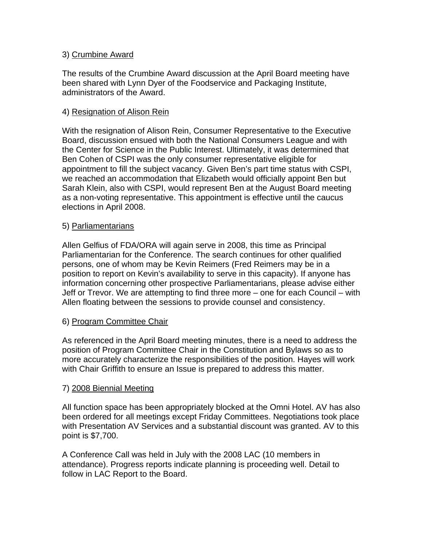## 3) Crumbine Award

The results of the Crumbine Award discussion at the April Board meeting have been shared with Lynn Dyer of the Foodservice and Packaging Institute, administrators of the Award.

## 4) Resignation of Alison Rein

With the resignation of Alison Rein, Consumer Representative to the Executive Board, discussion ensued with both the National Consumers League and with the Center for Science in the Public Interest. Ultimately, it was determined that Ben Cohen of CSPI was the only consumer representative eligible for appointment to fill the subject vacancy. Given Ben's part time status with CSPI, we reached an accommodation that Elizabeth would officially appoint Ben but Sarah Klein, also with CSPI, would represent Ben at the August Board meeting as a non-voting representative. This appointment is effective until the caucus elections in April 2008.

#### 5) Parliamentarians

Allen Gelfius of FDA/ORA will again serve in 2008, this time as Principal Parliamentarian for the Conference. The search continues for other qualified persons, one of whom may be Kevin Reimers (Fred Reimers may be in a position to report on Kevin's availability to serve in this capacity). If anyone has information concerning other prospective Parliamentarians, please advise either Jeff or Trevor. We are attempting to find three more – one for each Council – with Allen floating between the sessions to provide counsel and consistency.

#### 6) Program Committee Chair

As referenced in the April Board meeting minutes, there is a need to address the position of Program Committee Chair in the Constitution and Bylaws so as to more accurately characterize the responsibilities of the position. Hayes will work with Chair Griffith to ensure an Issue is prepared to address this matter.

#### 7) 2008 Biennial Meeting

All function space has been appropriately blocked at the Omni Hotel. AV has also been ordered for all meetings except Friday Committees. Negotiations took place with Presentation AV Services and a substantial discount was granted. AV to this point is \$7,700.

A Conference Call was held in July with the 2008 LAC (10 members in attendance). Progress reports indicate planning is proceeding well. Detail to follow in LAC Report to the Board.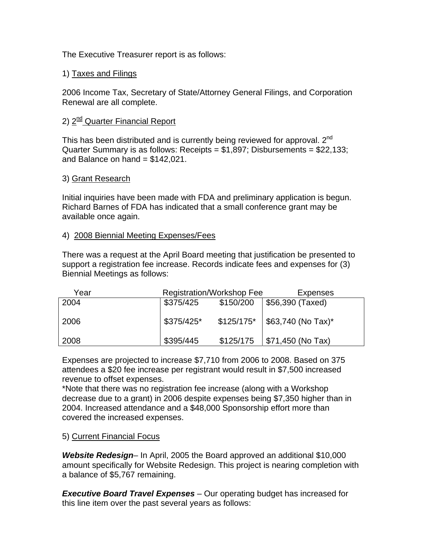The Executive Treasurer report is as follows:

## 1) Taxes and Filings

2006 Income Tax, Secretary of State/Attorney General Filings, and Corporation Renewal are all complete.

# 2) 2<sup>nd</sup> Quarter Financial Report

This has been distributed and is currently being reviewed for approval.  $2^{nd}$ Quarter Summary is as follows: Receipts = \$1,897; Disbursements = \$22,133; and Balance on hand  $= $142,021$ .

#### 3) Grant Research

Initial inquiries have been made with FDA and preliminary application is begun. Richard Barnes of FDA has indicated that a small conference grant may be available once again.

## 4) 2008 Biennial Meeting Expenses/Fees

There was a request at the April Board meeting that justification be presented to support a registration fee increase. Records indicate fees and expenses for (3) Biennial Meetings as follows:

| Year | <b>Registration/Workshop Fee</b> |           | Expenses                          |
|------|----------------------------------|-----------|-----------------------------------|
| 2004 | \$375/425                        | \$150/200 | $\vert$ \$56,390 (Taxed)          |
|      |                                  |           |                                   |
| 2006 | $$375/425$ *                     |           | $$125/175^*$   \$63,740 (No Tax)* |
|      |                                  |           |                                   |
| 2008 | \$395/445                        | \$125/175 | \$71,450 (No Tax)                 |

Expenses are projected to increase \$7,710 from 2006 to 2008. Based on 375 attendees a \$20 fee increase per registrant would result in \$7,500 increased revenue to offset expenses.

\*Note that there was no registration fee increase (along with a Workshop decrease due to a grant) in 2006 despite expenses being \$7,350 higher than in 2004. Increased attendance and a \$48,000 Sponsorship effort more than covered the increased expenses.

#### 5) Current Financial Focus

*Website Redesign*– In April, 2005 the Board approved an additional \$10,000 amount specifically for Website Redesign. This project is nearing completion with a balance of \$5,767 remaining.

*Executive Board Travel Expenses* – Our operating budget has increased for this line item over the past several years as follows: